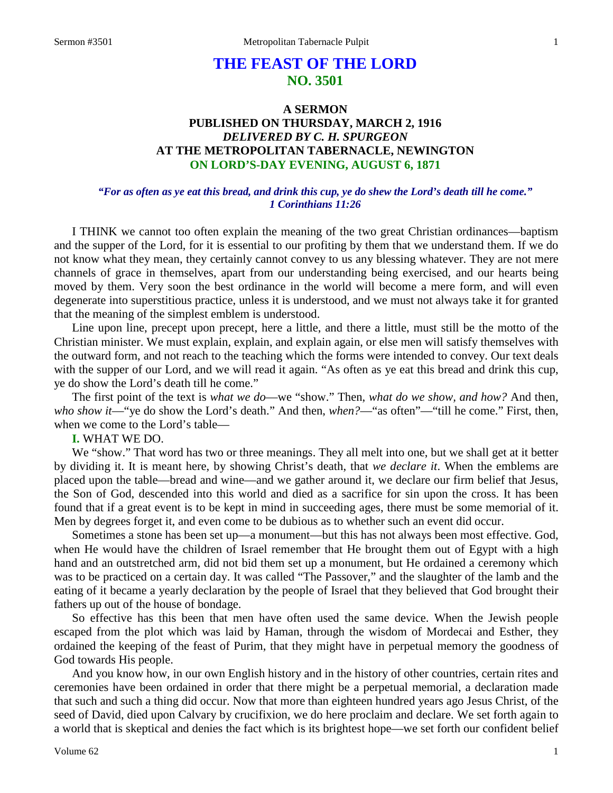# **THE FEAST OF THE LORD NO. 3501**

# **A SERMON PUBLISHED ON THURSDAY, MARCH 2, 1916** *DELIVERED BY C. H. SPURGEON* **AT THE METROPOLITAN TABERNACLE, NEWINGTON ON LORD'S-DAY EVENING, AUGUST 6, 1871**

### *"For as often as ye eat this bread, and drink this cup, ye do shew the Lord's death till he come." 1 Corinthians 11:26*

I THINK we cannot too often explain the meaning of the two great Christian ordinances—baptism and the supper of the Lord, for it is essential to our profiting by them that we understand them. If we do not know what they mean, they certainly cannot convey to us any blessing whatever. They are not mere channels of grace in themselves, apart from our understanding being exercised, and our hearts being moved by them. Very soon the best ordinance in the world will become a mere form, and will even degenerate into superstitious practice, unless it is understood, and we must not always take it for granted that the meaning of the simplest emblem is understood.

Line upon line, precept upon precept, here a little, and there a little, must still be the motto of the Christian minister. We must explain, explain, and explain again, or else men will satisfy themselves with the outward form, and not reach to the teaching which the forms were intended to convey. Our text deals with the supper of our Lord, and we will read it again. "As often as ye eat this bread and drink this cup, ye do show the Lord's death till he come."

The first point of the text is *what we do*—we "show." Then, *what do we show, and how?* And then, *who show it*—"ye do show the Lord's death." And then, *when?*—"as often"—"till he come." First, then, when we come to the Lord's table—

# **I.** WHAT WE DO.

We "show." That word has two or three meanings. They all melt into one, but we shall get at it better by dividing it. It is meant here, by showing Christ's death, that *we declare it*. When the emblems are placed upon the table—bread and wine—and we gather around it, we declare our firm belief that Jesus, the Son of God, descended into this world and died as a sacrifice for sin upon the cross. It has been found that if a great event is to be kept in mind in succeeding ages, there must be some memorial of it. Men by degrees forget it, and even come to be dubious as to whether such an event did occur.

Sometimes a stone has been set up—a monument—but this has not always been most effective. God, when He would have the children of Israel remember that He brought them out of Egypt with a high hand and an outstretched arm, did not bid them set up a monument, but He ordained a ceremony which was to be practiced on a certain day. It was called "The Passover," and the slaughter of the lamb and the eating of it became a yearly declaration by the people of Israel that they believed that God brought their fathers up out of the house of bondage.

So effective has this been that men have often used the same device. When the Jewish people escaped from the plot which was laid by Haman, through the wisdom of Mordecai and Esther, they ordained the keeping of the feast of Purim, that they might have in perpetual memory the goodness of God towards His people.

And you know how, in our own English history and in the history of other countries, certain rites and ceremonies have been ordained in order that there might be a perpetual memorial, a declaration made that such and such a thing did occur. Now that more than eighteen hundred years ago Jesus Christ, of the seed of David, died upon Calvary by crucifixion, we do here proclaim and declare. We set forth again to a world that is skeptical and denies the fact which is its brightest hope—we set forth our confident belief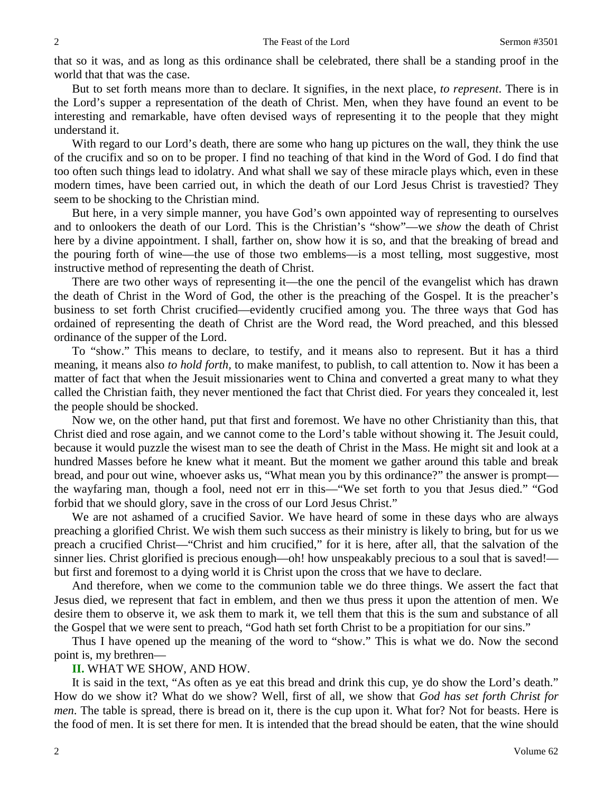that so it was, and as long as this ordinance shall be celebrated, there shall be a standing proof in the world that that was the case.

But to set forth means more than to declare. It signifies, in the next place, *to represent*. There is in the Lord's supper a representation of the death of Christ. Men, when they have found an event to be interesting and remarkable, have often devised ways of representing it to the people that they might understand it.

With regard to our Lord's death, there are some who hang up pictures on the wall, they think the use of the crucifix and so on to be proper. I find no teaching of that kind in the Word of God. I do find that too often such things lead to idolatry. And what shall we say of these miracle plays which, even in these modern times, have been carried out, in which the death of our Lord Jesus Christ is travestied? They seem to be shocking to the Christian mind.

But here, in a very simple manner, you have God's own appointed way of representing to ourselves and to onlookers the death of our Lord. This is the Christian's "show"—we *show* the death of Christ here by a divine appointment. I shall, farther on, show how it is so, and that the breaking of bread and the pouring forth of wine—the use of those two emblems—is a most telling, most suggestive, most instructive method of representing the death of Christ.

There are two other ways of representing it—the one the pencil of the evangelist which has drawn the death of Christ in the Word of God, the other is the preaching of the Gospel. It is the preacher's business to set forth Christ crucified—evidently crucified among you. The three ways that God has ordained of representing the death of Christ are the Word read, the Word preached, and this blessed ordinance of the supper of the Lord.

To "show." This means to declare, to testify, and it means also to represent. But it has a third meaning, it means also *to hold forth,* to make manifest, to publish, to call attention to. Now it has been a matter of fact that when the Jesuit missionaries went to China and converted a great many to what they called the Christian faith, they never mentioned the fact that Christ died. For years they concealed it, lest the people should be shocked.

Now we, on the other hand, put that first and foremost. We have no other Christianity than this, that Christ died and rose again, and we cannot come to the Lord's table without showing it. The Jesuit could, because it would puzzle the wisest man to see the death of Christ in the Mass. He might sit and look at a hundred Masses before he knew what it meant. But the moment we gather around this table and break bread, and pour out wine, whoever asks us, "What mean you by this ordinance?" the answer is prompt the wayfaring man, though a fool, need not err in this—"We set forth to you that Jesus died." "God forbid that we should glory, save in the cross of our Lord Jesus Christ."

We are not ashamed of a crucified Savior. We have heard of some in these days who are always preaching a glorified Christ. We wish them such success as their ministry is likely to bring, but for us we preach a crucified Christ—"Christ and him crucified," for it is here, after all, that the salvation of the sinner lies. Christ glorified is precious enough—oh! how unspeakably precious to a soul that is saved! but first and foremost to a dying world it is Christ upon the cross that we have to declare.

And therefore, when we come to the communion table we do three things. We assert the fact that Jesus died, we represent that fact in emblem, and then we thus press it upon the attention of men. We desire them to observe it, we ask them to mark it, we tell them that this is the sum and substance of all the Gospel that we were sent to preach, "God hath set forth Christ to be a propitiation for our sins."

Thus I have opened up the meaning of the word to "show." This is what we do. Now the second point is, my brethren—

# **II.** WHAT WE SHOW, AND HOW.

It is said in the text, "As often as ye eat this bread and drink this cup, ye do show the Lord's death." How do we show it? What do we show? Well, first of all, we show that *God has set forth Christ for men*. The table is spread, there is bread on it, there is the cup upon it. What for? Not for beasts. Here is the food of men. It is set there for men. It is intended that the bread should be eaten, that the wine should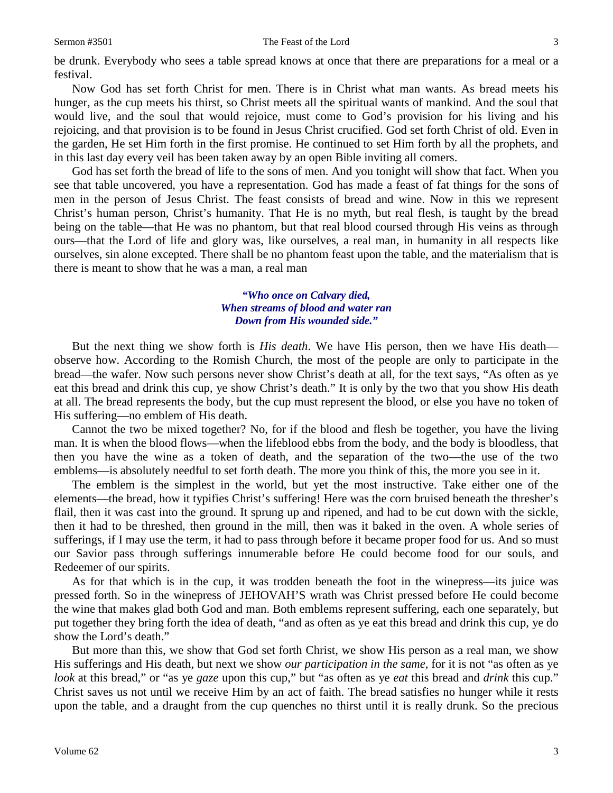be drunk. Everybody who sees a table spread knows at once that there are preparations for a meal or a festival.

Now God has set forth Christ for men. There is in Christ what man wants. As bread meets his hunger, as the cup meets his thirst, so Christ meets all the spiritual wants of mankind. And the soul that would live, and the soul that would rejoice, must come to God's provision for his living and his rejoicing, and that provision is to be found in Jesus Christ crucified. God set forth Christ of old. Even in the garden, He set Him forth in the first promise. He continued to set Him forth by all the prophets, and in this last day every veil has been taken away by an open Bible inviting all comers.

God has set forth the bread of life to the sons of men. And you tonight will show that fact. When you see that table uncovered, you have a representation. God has made a feast of fat things for the sons of men in the person of Jesus Christ. The feast consists of bread and wine. Now in this we represent Christ's human person, Christ's humanity. That He is no myth, but real flesh, is taught by the bread being on the table—that He was no phantom, but that real blood coursed through His veins as through ours—that the Lord of life and glory was, like ourselves, a real man, in humanity in all respects like ourselves, sin alone excepted. There shall be no phantom feast upon the table, and the materialism that is there is meant to show that he was a man, a real man

# *"Who once on Calvary died, When streams of blood and water ran Down from His wounded side."*

But the next thing we show forth is *His death*. We have His person, then we have His death observe how. According to the Romish Church, the most of the people are only to participate in the bread—the wafer. Now such persons never show Christ's death at all, for the text says, "As often as ye eat this bread and drink this cup, ye show Christ's death." It is only by the two that you show His death at all. The bread represents the body, but the cup must represent the blood, or else you have no token of His suffering—no emblem of His death.

Cannot the two be mixed together? No, for if the blood and flesh be together, you have the living man. It is when the blood flows—when the lifeblood ebbs from the body, and the body is bloodless, that then you have the wine as a token of death, and the separation of the two—the use of the two emblems—is absolutely needful to set forth death. The more you think of this, the more you see in it.

The emblem is the simplest in the world, but yet the most instructive. Take either one of the elements—the bread, how it typifies Christ's suffering! Here was the corn bruised beneath the thresher's flail, then it was cast into the ground. It sprung up and ripened, and had to be cut down with the sickle, then it had to be threshed, then ground in the mill, then was it baked in the oven. A whole series of sufferings, if I may use the term, it had to pass through before it became proper food for us. And so must our Savior pass through sufferings innumerable before He could become food for our souls, and Redeemer of our spirits.

As for that which is in the cup, it was trodden beneath the foot in the winepress—its juice was pressed forth. So in the winepress of JEHOVAH'S wrath was Christ pressed before He could become the wine that makes glad both God and man. Both emblems represent suffering, each one separately, but put together they bring forth the idea of death, "and as often as ye eat this bread and drink this cup, ye do show the Lord's death."

But more than this, we show that God set forth Christ, we show His person as a real man, we show His sufferings and His death, but next we show *our participation in the same,* for it is not "as often as ye *look* at this bread," or "as ye *gaze* upon this cup," but "as often as ye *eat* this bread and *drink* this cup." Christ saves us not until we receive Him by an act of faith. The bread satisfies no hunger while it rests upon the table, and a draught from the cup quenches no thirst until it is really drunk. So the precious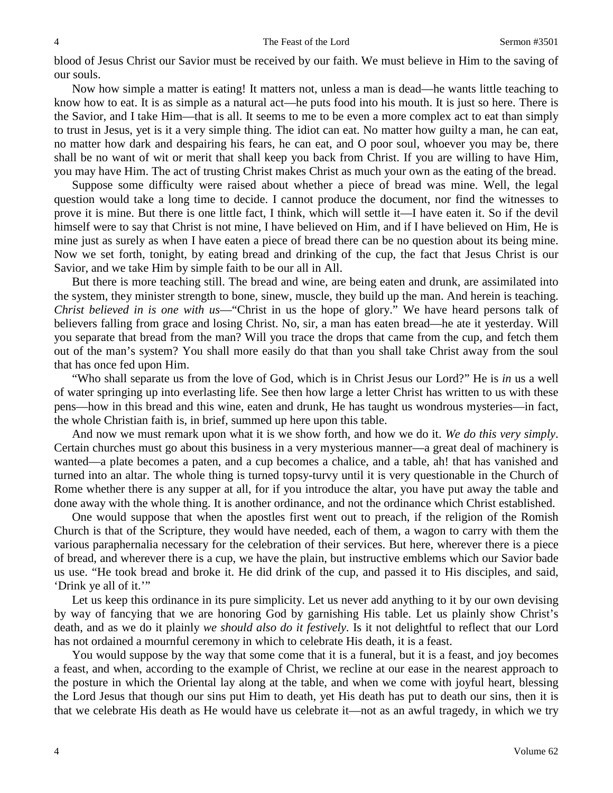blood of Jesus Christ our Savior must be received by our faith. We must believe in Him to the saving of our souls.

Now how simple a matter is eating! It matters not, unless a man is dead—he wants little teaching to know how to eat. It is as simple as a natural act—he puts food into his mouth. It is just so here. There is the Savior, and I take Him—that is all. It seems to me to be even a more complex act to eat than simply to trust in Jesus, yet is it a very simple thing. The idiot can eat. No matter how guilty a man, he can eat, no matter how dark and despairing his fears, he can eat, and O poor soul, whoever you may be, there shall be no want of wit or merit that shall keep you back from Christ. If you are willing to have Him, you may have Him. The act of trusting Christ makes Christ as much your own as the eating of the bread.

Suppose some difficulty were raised about whether a piece of bread was mine. Well, the legal question would take a long time to decide. I cannot produce the document, nor find the witnesses to prove it is mine. But there is one little fact, I think, which will settle it—I have eaten it. So if the devil himself were to say that Christ is not mine, I have believed on Him, and if I have believed on Him, He is mine just as surely as when I have eaten a piece of bread there can be no question about its being mine. Now we set forth, tonight, by eating bread and drinking of the cup, the fact that Jesus Christ is our Savior, and we take Him by simple faith to be our all in All.

But there is more teaching still. The bread and wine, are being eaten and drunk, are assimilated into the system, they minister strength to bone, sinew, muscle, they build up the man. And herein is teaching. *Christ believed in is one with us*—"Christ in us the hope of glory." We have heard persons talk of believers falling from grace and losing Christ. No, sir, a man has eaten bread—he ate it yesterday. Will you separate that bread from the man? Will you trace the drops that came from the cup, and fetch them out of the man's system? You shall more easily do that than you shall take Christ away from the soul that has once fed upon Him.

"Who shall separate us from the love of God, which is in Christ Jesus our Lord?" He is *in* us a well of water springing up into everlasting life. See then how large a letter Christ has written to us with these pens—how in this bread and this wine, eaten and drunk, He has taught us wondrous mysteries—in fact, the whole Christian faith is, in brief, summed up here upon this table.

And now we must remark upon what it is we show forth, and how we do it. *We do this very simply*. Certain churches must go about this business in a very mysterious manner—a great deal of machinery is wanted—a plate becomes a paten, and a cup becomes a chalice, and a table, ah! that has vanished and turned into an altar. The whole thing is turned topsy-turvy until it is very questionable in the Church of Rome whether there is any supper at all, for if you introduce the altar, you have put away the table and done away with the whole thing. It is another ordinance, and not the ordinance which Christ established.

One would suppose that when the apostles first went out to preach, if the religion of the Romish Church is that of the Scripture, they would have needed, each of them, a wagon to carry with them the various paraphernalia necessary for the celebration of their services. But here, wherever there is a piece of bread, and wherever there is a cup, we have the plain, but instructive emblems which our Savior bade us use. "He took bread and broke it. He did drink of the cup, and passed it to His disciples, and said, 'Drink ye all of it.'"

Let us keep this ordinance in its pure simplicity. Let us never add anything to it by our own devising by way of fancying that we are honoring God by garnishing His table. Let us plainly show Christ's death, and as we do it plainly *we should also do it festively*. Is it not delightful to reflect that our Lord has not ordained a mournful ceremony in which to celebrate His death, it is a feast.

You would suppose by the way that some come that it is a funeral, but it is a feast, and joy becomes a feast, and when, according to the example of Christ, we recline at our ease in the nearest approach to the posture in which the Oriental lay along at the table, and when we come with joyful heart, blessing the Lord Jesus that though our sins put Him to death, yet His death has put to death our sins, then it is that we celebrate His death as He would have us celebrate it—not as an awful tragedy, in which we try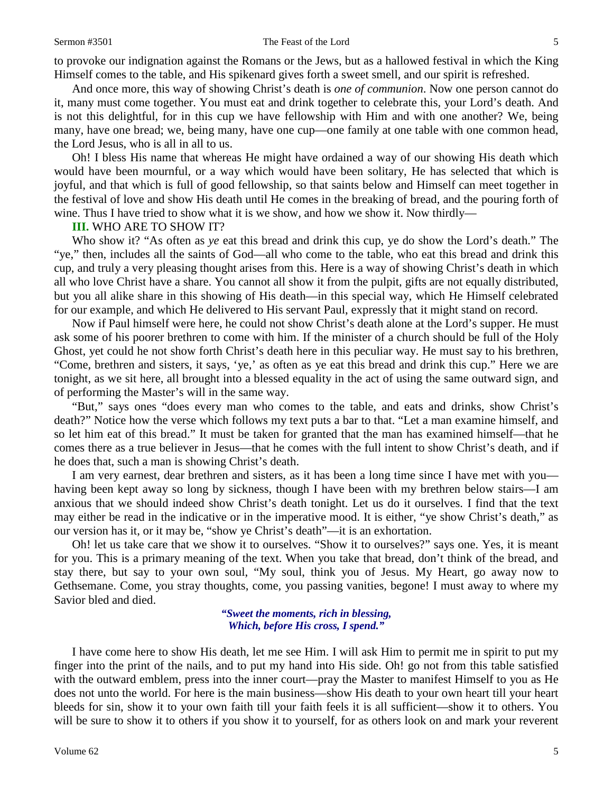to provoke our indignation against the Romans or the Jews, but as a hallowed festival in which the King Himself comes to the table, and His spikenard gives forth a sweet smell, and our spirit is refreshed.

And once more, this way of showing Christ's death is *one of communion*. Now one person cannot do it, many must come together. You must eat and drink together to celebrate this, your Lord's death. And is not this delightful, for in this cup we have fellowship with Him and with one another? We, being many, have one bread; we, being many, have one cup—one family at one table with one common head, the Lord Jesus, who is all in all to us.

Oh! I bless His name that whereas He might have ordained a way of our showing His death which would have been mournful, or a way which would have been solitary, He has selected that which is joyful, and that which is full of good fellowship, so that saints below and Himself can meet together in the festival of love and show His death until He comes in the breaking of bread, and the pouring forth of wine. Thus I have tried to show what it is we show, and how we show it. Now thirdly—

#### **III.** WHO ARE TO SHOW IT?

Who show it? "As often as *ye* eat this bread and drink this cup, ye do show the Lord's death." The "ye," then, includes all the saints of God—all who come to the table, who eat this bread and drink this cup, and truly a very pleasing thought arises from this. Here is a way of showing Christ's death in which all who love Christ have a share. You cannot all show it from the pulpit, gifts are not equally distributed, but you all alike share in this showing of His death—in this special way, which He Himself celebrated for our example, and which He delivered to His servant Paul, expressly that it might stand on record.

Now if Paul himself were here, he could not show Christ's death alone at the Lord's supper. He must ask some of his poorer brethren to come with him. If the minister of a church should be full of the Holy Ghost, yet could he not show forth Christ's death here in this peculiar way. He must say to his brethren, "Come, brethren and sisters, it says, 'ye,' as often as ye eat this bread and drink this cup." Here we are tonight, as we sit here, all brought into a blessed equality in the act of using the same outward sign, and of performing the Master's will in the same way.

"But," says ones "does every man who comes to the table, and eats and drinks, show Christ's death?" Notice how the verse which follows my text puts a bar to that. "Let a man examine himself, and so let him eat of this bread." It must be taken for granted that the man has examined himself—that he comes there as a true believer in Jesus—that he comes with the full intent to show Christ's death, and if he does that, such a man is showing Christ's death.

I am very earnest, dear brethren and sisters, as it has been a long time since I have met with you having been kept away so long by sickness, though I have been with my brethren below stairs—I am anxious that we should indeed show Christ's death tonight. Let us do it ourselves. I find that the text may either be read in the indicative or in the imperative mood. It is either, "ye show Christ's death," as our version has it, or it may be, "show ye Christ's death"—it is an exhortation.

Oh! let us take care that we show it to ourselves. "Show it to ourselves?" says one. Yes, it is meant for you. This is a primary meaning of the text. When you take that bread, don't think of the bread, and stay there, but say to your own soul, "My soul, think you of Jesus. My Heart, go away now to Gethsemane. Come, you stray thoughts, come, you passing vanities, begone! I must away to where my Savior bled and died.

> *"Sweet the moments, rich in blessing, Which, before His cross, I spend."*

I have come here to show His death, let me see Him. I will ask Him to permit me in spirit to put my finger into the print of the nails, and to put my hand into His side. Oh! go not from this table satisfied with the outward emblem, press into the inner court—pray the Master to manifest Himself to you as He does not unto the world. For here is the main business—show His death to your own heart till your heart bleeds for sin, show it to your own faith till your faith feels it is all sufficient—show it to others. You will be sure to show it to others if you show it to yourself, for as others look on and mark your reverent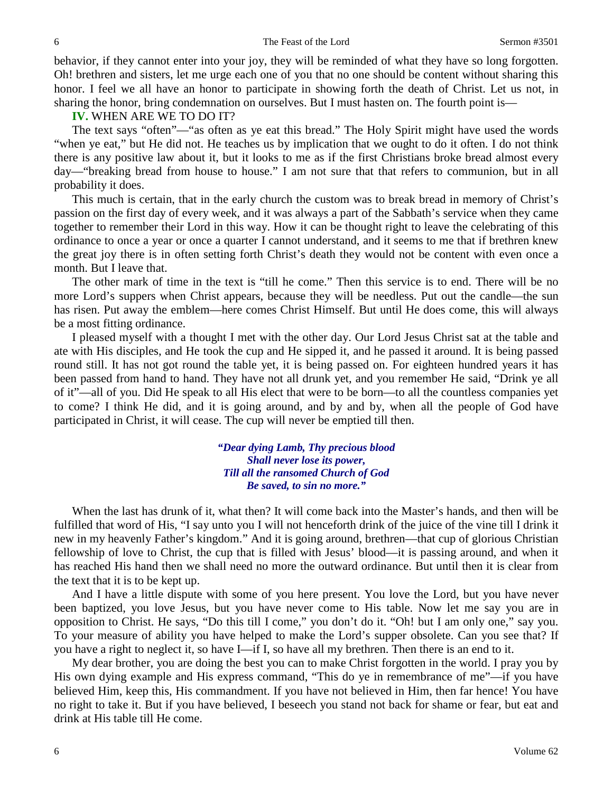behavior, if they cannot enter into your joy, they will be reminded of what they have so long forgotten. Oh! brethren and sisters, let me urge each one of you that no one should be content without sharing this honor. I feel we all have an honor to participate in showing forth the death of Christ. Let us not, in sharing the honor, bring condemnation on ourselves. But I must hasten on. The fourth point is—

**IV.** WHEN ARE WE TO DO IT?

The text says "often"—"as often as ye eat this bread." The Holy Spirit might have used the words "when ye eat," but He did not. He teaches us by implication that we ought to do it often. I do not think there is any positive law about it, but it looks to me as if the first Christians broke bread almost every day—"breaking bread from house to house." I am not sure that that refers to communion, but in all probability it does.

This much is certain, that in the early church the custom was to break bread in memory of Christ's passion on the first day of every week, and it was always a part of the Sabbath's service when they came together to remember their Lord in this way. How it can be thought right to leave the celebrating of this ordinance to once a year or once a quarter I cannot understand, and it seems to me that if brethren knew the great joy there is in often setting forth Christ's death they would not be content with even once a month. But I leave that.

The other mark of time in the text is "till he come." Then this service is to end. There will be no more Lord's suppers when Christ appears, because they will be needless. Put out the candle—the sun has risen. Put away the emblem—here comes Christ Himself. But until He does come, this will always be a most fitting ordinance.

I pleased myself with a thought I met with the other day. Our Lord Jesus Christ sat at the table and ate with His disciples, and He took the cup and He sipped it, and he passed it around. It is being passed round still. It has not got round the table yet, it is being passed on. For eighteen hundred years it has been passed from hand to hand. They have not all drunk yet, and you remember He said, "Drink ye all of it"—all of you. Did He speak to all His elect that were to be born—to all the countless companies yet to come? I think He did, and it is going around, and by and by, when all the people of God have participated in Christ, it will cease. The cup will never be emptied till then.

> *"Dear dying Lamb, Thy precious blood Shall never lose its power, Till all the ransomed Church of God Be saved, to sin no more."*

When the last has drunk of it, what then? It will come back into the Master's hands, and then will be fulfilled that word of His, "I say unto you I will not henceforth drink of the juice of the vine till I drink it new in my heavenly Father's kingdom." And it is going around, brethren—that cup of glorious Christian fellowship of love to Christ, the cup that is filled with Jesus' blood—it is passing around, and when it has reached His hand then we shall need no more the outward ordinance. But until then it is clear from the text that it is to be kept up.

And I have a little dispute with some of you here present. You love the Lord, but you have never been baptized, you love Jesus, but you have never come to His table. Now let me say you are in opposition to Christ. He says, "Do this till I come," you don't do it. "Oh! but I am only one," say you. To your measure of ability you have helped to make the Lord's supper obsolete. Can you see that? If you have a right to neglect it, so have I—if I, so have all my brethren. Then there is an end to it.

My dear brother, you are doing the best you can to make Christ forgotten in the world. I pray you by His own dying example and His express command, "This do ye in remembrance of me"—if you have believed Him, keep this, His commandment. If you have not believed in Him, then far hence! You have no right to take it. But if you have believed, I beseech you stand not back for shame or fear, but eat and drink at His table till He come.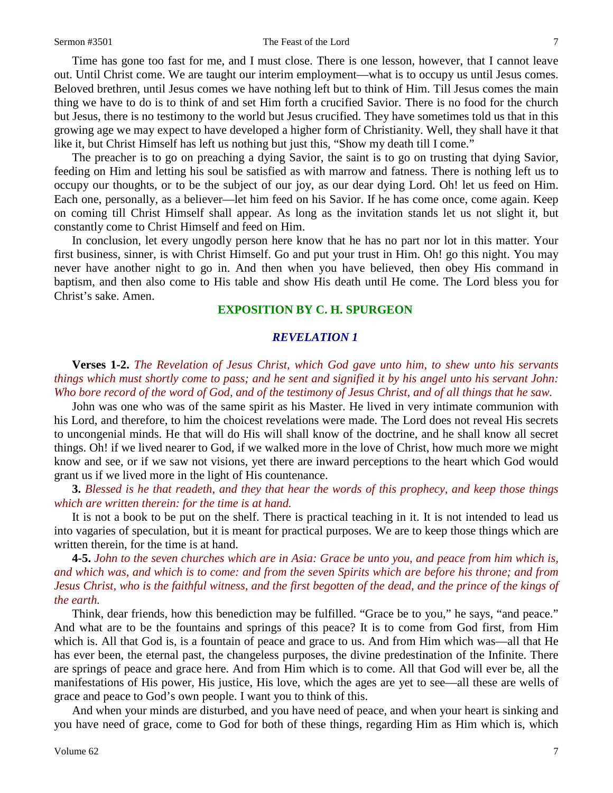Time has gone too fast for me, and I must close. There is one lesson, however, that I cannot leave out. Until Christ come. We are taught our interim employment—what is to occupy us until Jesus comes. Beloved brethren, until Jesus comes we have nothing left but to think of Him. Till Jesus comes the main thing we have to do is to think of and set Him forth a crucified Savior. There is no food for the church but Jesus, there is no testimony to the world but Jesus crucified. They have sometimes told us that in this growing age we may expect to have developed a higher form of Christianity. Well, they shall have it that like it, but Christ Himself has left us nothing but just this, "Show my death till I come."

The preacher is to go on preaching a dying Savior, the saint is to go on trusting that dying Savior, feeding on Him and letting his soul be satisfied as with marrow and fatness. There is nothing left us to occupy our thoughts, or to be the subject of our joy, as our dear dying Lord. Oh! let us feed on Him. Each one, personally, as a believer—let him feed on his Savior. If he has come once, come again. Keep on coming till Christ Himself shall appear. As long as the invitation stands let us not slight it, but constantly come to Christ Himself and feed on Him.

In conclusion, let every ungodly person here know that he has no part nor lot in this matter. Your first business, sinner, is with Christ Himself. Go and put your trust in Him. Oh! go this night. You may never have another night to go in. And then when you have believed, then obey His command in baptism, and then also come to His table and show His death until He come. The Lord bless you for Christ's sake. Amen.

# **EXPOSITION BY C. H. SPURGEON**

## *REVELATION 1*

**Verses 1-2.** *The Revelation of Jesus Christ, which God gave unto him, to shew unto his servants things which must shortly come to pass; and he sent and signified it by his angel unto his servant John: Who bore record of the word of God, and of the testimony of Jesus Christ, and of all things that he saw.* 

John was one who was of the same spirit as his Master. He lived in very intimate communion with his Lord, and therefore, to him the choicest revelations were made. The Lord does not reveal His secrets to uncongenial minds. He that will do His will shall know of the doctrine, and he shall know all secret things. Oh! if we lived nearer to God, if we walked more in the love of Christ, how much more we might know and see, or if we saw not visions, yet there are inward perceptions to the heart which God would grant us if we lived more in the light of His countenance.

**3.** *Blessed is he that readeth, and they that hear the words of this prophecy, and keep those things which are written therein: for the time is at hand.* 

It is not a book to be put on the shelf. There is practical teaching in it. It is not intended to lead us into vagaries of speculation, but it is meant for practical purposes. We are to keep those things which are written therein, for the time is at hand.

**4-5.** *John to the seven churches which are in Asia: Grace be unto you, and peace from him which is, and which was, and which is to come: and from the seven Spirits which are before his throne; and from Jesus Christ, who is the faithful witness, and the first begotten of the dead, and the prince of the kings of the earth.* 

Think, dear friends, how this benediction may be fulfilled. "Grace be to you," he says, "and peace." And what are to be the fountains and springs of this peace? It is to come from God first, from Him which is. All that God is, is a fountain of peace and grace to us. And from Him which was—all that He has ever been, the eternal past, the changeless purposes, the divine predestination of the Infinite. There are springs of peace and grace here. And from Him which is to come. All that God will ever be, all the manifestations of His power, His justice, His love, which the ages are yet to see—all these are wells of grace and peace to God's own people. I want you to think of this.

And when your minds are disturbed, and you have need of peace, and when your heart is sinking and you have need of grace, come to God for both of these things, regarding Him as Him which is, which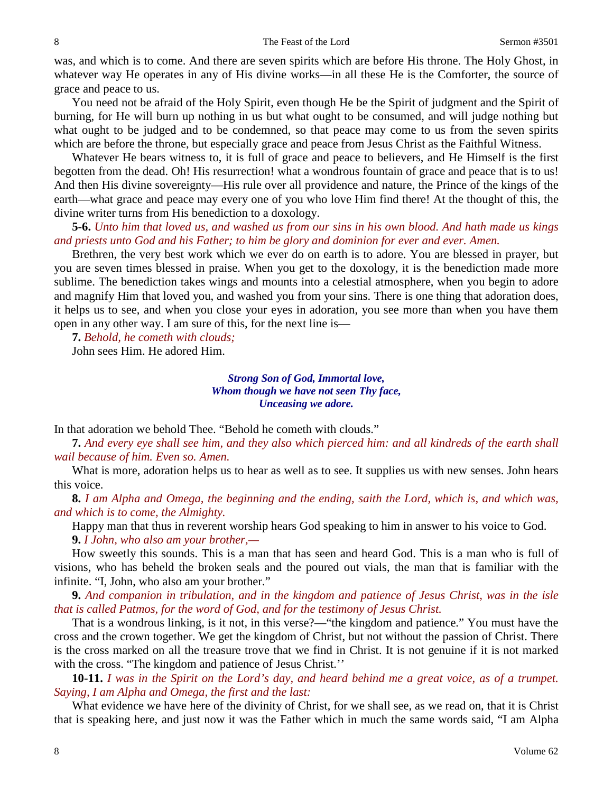was, and which is to come. And there are seven spirits which are before His throne. The Holy Ghost, in whatever way He operates in any of His divine works—in all these He is the Comforter, the source of grace and peace to us.

You need not be afraid of the Holy Spirit, even though He be the Spirit of judgment and the Spirit of burning, for He will burn up nothing in us but what ought to be consumed, and will judge nothing but what ought to be judged and to be condemned, so that peace may come to us from the seven spirits which are before the throne, but especially grace and peace from Jesus Christ as the Faithful Witness.

Whatever He bears witness to, it is full of grace and peace to believers, and He Himself is the first begotten from the dead. Oh! His resurrection! what a wondrous fountain of grace and peace that is to us! And then His divine sovereignty—His rule over all providence and nature, the Prince of the kings of the earth—what grace and peace may every one of you who love Him find there! At the thought of this, the divine writer turns from His benediction to a doxology.

**5-6.** *Unto him that loved us, and washed us from our sins in his own blood. And hath made us kings and priests unto God and his Father; to him be glory and dominion for ever and ever. Amen.* 

Brethren, the very best work which we ever do on earth is to adore. You are blessed in prayer, but you are seven times blessed in praise. When you get to the doxology, it is the benediction made more sublime. The benediction takes wings and mounts into a celestial atmosphere, when you begin to adore and magnify Him that loved you, and washed you from your sins. There is one thing that adoration does, it helps us to see, and when you close your eyes in adoration, you see more than when you have them open in any other way. I am sure of this, for the next line is—

**7.** *Behold, he cometh with clouds;*

John sees Him. He adored Him.

*Strong Son of God, Immortal love, Whom though we have not seen Thy face, Unceasing we adore.*

In that adoration we behold Thee. "Behold he cometh with clouds."

**7.** *And every eye shall see him, and they also which pierced him: and all kindreds of the earth shall wail because of him. Even so. Amen.*

What is more, adoration helps us to hear as well as to see. It supplies us with new senses. John hears this voice.

**8.** *I am Alpha and Omega, the beginning and the ending, saith the Lord, which is, and which was, and which is to come, the Almighty.*

Happy man that thus in reverent worship hears God speaking to him in answer to his voice to God. **9.** *I John, who also am your brother,—*

How sweetly this sounds. This is a man that has seen and heard God. This is a man who is full of visions, who has beheld the broken seals and the poured out vials, the man that is familiar with the infinite. "I, John, who also am your brother."

**9.** *And companion in tribulation, and in the kingdom and patience of Jesus Christ, was in the isle that is called Patmos, for the word of God, and for the testimony of Jesus Christ.*

That is a wondrous linking, is it not, in this verse?—"the kingdom and patience." You must have the cross and the crown together. We get the kingdom of Christ, but not without the passion of Christ. There is the cross marked on all the treasure trove that we find in Christ. It is not genuine if it is not marked with the cross. "The kingdom and patience of Jesus Christ.''

**10-11.** *I was in the Spirit on the Lord's day, and heard behind me a great voice, as of a trumpet. Saying, I am Alpha and Omega, the first and the last:*

What evidence we have here of the divinity of Christ, for we shall see, as we read on, that it is Christ that is speaking here, and just now it was the Father which in much the same words said, "I am Alpha